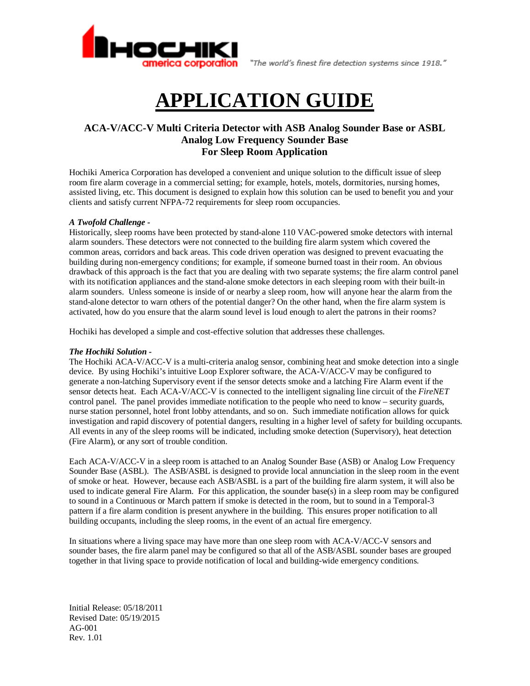

"The world's finest fire detection systems since 1918."

# **APPLICATION GUIDE**

# **ACA-V/ACC-V Multi Criteria Detector with ASB Analog Sounder Base or ASBL Analog Low Frequency Sounder Base For Sleep Room Application**

Hochiki America Corporation has developed a convenient and unique solution to the difficult issue of sleep room fire alarm coverage in a commercial setting; for example, hotels, motels, dormitories, nursing homes, assisted living, etc. This document is designed to explain how this solution can be used to benefit you and your clients and satisfy current NFPA-72 requirements for sleep room occupancies.

## *A Twofold Challenge -*

Historically, sleep rooms have been protected by stand-alone 110 VAC-powered smoke detectors with internal alarm sounders. These detectors were not connected to the building fire alarm system which covered the common areas, corridors and back areas. This code driven operation was designed to prevent evacuating the building during non-emergency conditions; for example, if someone burned toast in their room. An obvious drawback of this approach is the fact that you are dealing with two separate systems; the fire alarm control panel with its notification appliances and the stand-alone smoke detectors in each sleeping room with their built-in alarm sounders. Unless someone is inside of or nearby a sleep room, how will anyone hear the alarm from the stand-alone detector to warn others of the potential danger? On the other hand, when the fire alarm system is activated, how do you ensure that the alarm sound level is loud enough to alert the patrons in their rooms?

Hochiki has developed a simple and cost-effective solution that addresses these challenges.

### *The Hochiki Solution -*

The Hochiki ACA-V/ACC-V is a multi-criteria analog sensor, combining heat and smoke detection into a single device. By using Hochiki's intuitive Loop Explorer software, the ACA-V/ACC-V may be configured to generate a non-latching Supervisory event if the sensor detects smoke and a latching Fire Alarm event if the sensor detects heat. Each ACA-V/ACC-V is connected to the intelligent signaling line circuit of the *FireNET* control panel. The panel provides immediate notification to the people who need to know – security guards, nurse station personnel, hotel front lobby attendants, and so on. Such immediate notification allows for quick investigation and rapid discovery of potential dangers, resulting in a higher level of safety for building occupants. All events in any of the sleep rooms will be indicated, including smoke detection (Supervisory), heat detection (Fire Alarm), or any sort of trouble condition.

Each ACA-V/ACC-V in a sleep room is attached to an Analog Sounder Base (ASB) or Analog Low Frequency Sounder Base (ASBL). The ASB/ASBL is designed to provide local annunciation in the sleep room in the event of smoke or heat. However, because each ASB/ASBL is a part of the building fire alarm system, it will also be used to indicate general Fire Alarm. For this application, the sounder base(s) in a sleep room may be configured to sound in a Continuous or March pattern if smoke is detected in the room, but to sound in a Temporal-3 pattern if a fire alarm condition is present anywhere in the building. This ensures proper notification to all building occupants, including the sleep rooms, in the event of an actual fire emergency.

In situations where a living space may have more than one sleep room with ACA-V/ACC-V sensors and sounder bases, the fire alarm panel may be configured so that all of the ASB/ASBL sounder bases are grouped together in that living space to provide notification of local and building-wide emergency conditions.

Initial Release: 05/18/2011 Revised Date: 05/19/2015 AG-001 Rev. 1.01